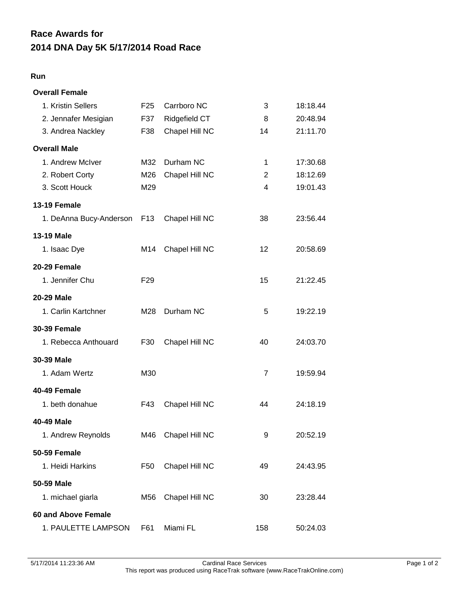## **2014 DNA Day 5K 5/17/2014 Road Race Race Awards for**

## **Run**

| <b>Overall Female</b>      |                 |                |                |          |
|----------------------------|-----------------|----------------|----------------|----------|
| 1. Kristin Sellers         | F <sub>25</sub> | Carrboro NC    | 3              | 18:18.44 |
| 2. Jennafer Mesigian       | F37             | Ridgefield CT  | 8              | 20:48.94 |
| 3. Andrea Nackley          | F38             | Chapel Hill NC | 14             | 21:11.70 |
| <b>Overall Male</b>        |                 |                |                |          |
| 1. Andrew McIver           | M32             | Durham NC      | 1              | 17:30.68 |
| 2. Robert Corty            | M26             | Chapel Hill NC | 2              | 18:12.69 |
| 3. Scott Houck             | M29             |                | 4              | 19:01.43 |
| <b>13-19 Female</b>        |                 |                |                |          |
| 1. DeAnna Bucy-Anderson    | F <sub>13</sub> | Chapel Hill NC | 38             | 23:56.44 |
| <b>13-19 Male</b>          |                 |                |                |          |
| 1. Isaac Dye               | M14             | Chapel Hill NC | 12             | 20:58.69 |
| 20-29 Female               |                 |                |                |          |
| 1. Jennifer Chu            | F <sub>29</sub> |                | 15             | 21:22.45 |
| <b>20-29 Male</b>          |                 |                |                |          |
| 1. Carlin Kartchner        | M28             | Durham NC      | 5              | 19:22.19 |
| <b>30-39 Female</b>        |                 |                |                |          |
| 1. Rebecca Anthouard       | F30             | Chapel Hill NC | 40             | 24:03.70 |
| 30-39 Male                 |                 |                |                |          |
| 1. Adam Wertz              | M30             |                | $\overline{7}$ | 19:59.94 |
| 40-49 Female               |                 |                |                |          |
| 1. beth donahue            | F43             | Chapel Hill NC | 44             | 24:18.19 |
| 40-49 Male                 |                 |                |                |          |
| 1. Andrew Reynolds         | M46             | Chapel Hill NC | 9              | 20:52.19 |
| 50-59 Female               |                 |                |                |          |
| 1. Heidi Harkins           | F50             | Chapel Hill NC | 49             | 24:43.95 |
| 50-59 Male                 |                 |                |                |          |
| 1. michael giarla          | M56             | Chapel Hill NC | 30             | 23:28.44 |
| <b>60 and Above Female</b> |                 |                |                |          |
| 1. PAULETTE LAMPSON        | F61             | Miami FL       | 158            | 50:24.03 |